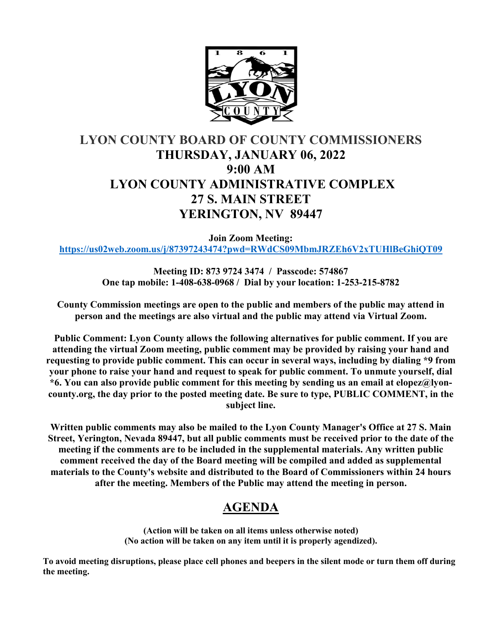

# **LYON COUNTY BOARD OF COUNTY COMMISSIONERS THURSDAY, JANUARY 06, 2022 9:00 AM LYON COUNTY ADMINISTRATIVE COMPLEX 27 S. MAIN STREET YERINGTON, NV 89447**

**Join Zoom Meeting: <https://us02web.zoom.us/j/87397243474?pwd=RWdCS09MbmJRZEh6V2xTUHlBeGhiQT09>**

> **Meeting ID: 873 9724 3474 / Passcode: 574867 One tap mobile: 1-408-638-0968 / Dial by your location: 1-253-215-8782**

**County Commission meetings are open to the public and members of the public may attend in person and the meetings are also virtual and the public may attend via Virtual Zoom.** 

**Public Comment: Lyon County allows the following alternatives for public comment. If you are attending the virtual Zoom meeting, public comment may be provided by raising your hand and requesting to provide public comment. This can occur in several ways, including by dialing \*9 from your phone to raise your hand and request to speak for public comment. To unmute yourself, dial \*6. You can also provide public comment for this meeting by sending us an email at elopez@lyoncounty.org, the day prior to the posted meeting date. Be sure to type, PUBLIC COMMENT, in the subject line.** 

**Written public comments may also be mailed to the Lyon County Manager's Office at 27 S. Main Street, Yerington, Nevada 89447, but all public comments must be received prior to the date of the meeting if the comments are to be included in the supplemental materials. Any written public comment received the day of the Board meeting will be compiled and added as supplemental materials to the County's website and distributed to the Board of Commissioners within 24 hours after the meeting. Members of the Public may attend the meeting in person.**

# **AGENDA**

**(Action will be taken on all items unless otherwise noted) (No action will be taken on any item until it is properly agendized).**

**To avoid meeting disruptions, please place cell phones and beepers in the silent mode or turn them off during the meeting.**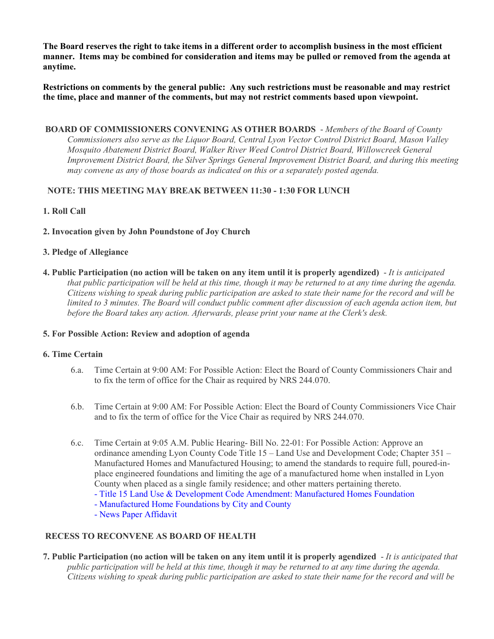**The Board reserves the right to take items in a different order to accomplish business in the most efficient manner. Items may be combined for consideration and items may be pulled or removed from the agenda at anytime.** 

**Restrictions on comments by the general public: Any such restrictions must be reasonable and may restrict the time, place and manner of the comments, but may not restrict comments based upon viewpoint.**

**BOARD OF COMMISSIONERS CONVENING AS OTHER BOARDS** - *Members of the Board of County Commissioners also serve as the Liquor Board, Central Lyon Vector Control District Board, Mason Valley Mosquito Abatement District Board, Walker River Weed Control District Board, Willowcreek General Improvement District Board, the Silver Springs General Improvement District Board, and during this meeting may convene as any of those boards as indicated on this or a separately posted agenda.*

# **NOTE: THIS MEETING MAY BREAK BETWEEN 11:30 - 1:30 FOR LUNCH**

## **1. Roll Call**

### **2. Invocation given by John Poundstone of Joy Church**

### **3. Pledge of Allegiance**

**4. Public Participation (no action will be taken on any item until it is properly agendized)** - *It is anticipated that public participation will be held at this time, though it may be returned to at any time during the agenda. Citizens wishing to speak during public participation are asked to state their name for the record and will be limited to 3 minutes. The Board will conduct public comment after discussion of each agenda action item, but before the Board takes any action. Afterwards, please print your name at the Clerk's desk.*

### **5. For Possible Action: Review and adoption of agenda**

#### **6. Time Certain**

- 6.a. Time Certain at 9:00 AM: For Possible Action: Elect the Board of County Commissioners Chair and to fix the term of office for the Chair as required by NRS 244.070.
- 6.b. Time Certain at 9:00 AM: For Possible Action: Elect the Board of County Commissioners Vice Chair and to fix the term of office for the Vice Chair as required by NRS 244.070.
- 6.c. Time Certain at 9:05 A.M. Public Hearing- Bill No. 22-01: For Possible Action: Approve an ordinance amending Lyon County Code Title 15 – Land Use and Development Code; Chapter 351 – Manufactured Homes and Manufactured Housing; to amend the standards to require full, poured-inplace engineered foundations and limiting the age of a manufactured home when installed in Lyon County when placed as a single family residence; and other matters pertaining thereto.
	- [Title 15 Land Use & Development Code Amendment: Manufactured Homes Foundation](https://legistarweb-production.s3.amazonaws.com/uploads/attachment/pdf/1182576/Ord_Title_15_Land_Use___Development_Code_Amendment_MH_Foundation_01.06.2022_REVISED_BOC_DRAFT.pdf)
	- [Manufactured Home Foundations by City and County](https://legistarweb-production.s3.amazonaws.com/uploads/attachment/pdf/1188798/Manufactured_Home_Foundations_by_City_and_County.pdf)
	- [News Paper Affidavit](https://legistarweb-production.s3.amazonaws.com/uploads/attachment/pdf/1182575/BILL_No._22-01_Ord._623_NP_Affidavit_1.pdf)

#### **RECESS TO RECONVENE AS BOARD OF HEALTH**

**7. Public Participation (no action will be taken on any item until it is properly agendized** - *It is anticipated that public participation will be held at this time, though it may be returned to at any time during the agenda. Citizens wishing to speak during public participation are asked to state their name for the record and will be*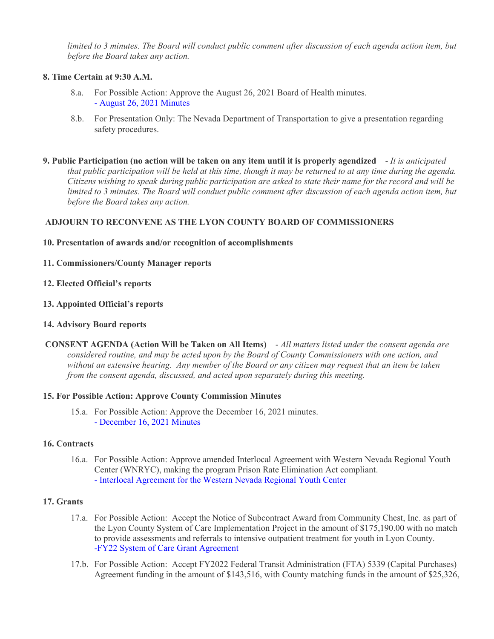*limited to 3 minutes. The Board will conduct public comment after discussion of each agenda action item, but before the Board takes any action.*

## **8. Time Certain at 9:30 A.M.**

- 8.a. For Possible Action: Approve the August 26, 2021 Board of Health minutes. - [August 26, 2021 Minutes](https://legistarweb-production.s3.amazonaws.com/uploads/attachment/pdf/1165538/082621_boh_mtg.pdf)
- 8.b. For Presentation Only: The Nevada Department of Transportation to give a presentation regarding safety procedures.
- **9. Public Participation (no action will be taken on any item until it is properly agendized**  *It is anticipated that public participation will be held at this time, though it may be returned to at any time during the agenda. Citizens wishing to speak during public participation are asked to state their name for the record and will be limited to 3 minutes. The Board will conduct public comment after discussion of each agenda action item, but before the Board takes any action.*

# **ADJOURN TO RECONVENE AS THE LYON COUNTY BOARD OF COMMISSIONERS**

### **10. Presentation of awards and/or recognition of accomplishments**

- **11. Commissioners/County Manager reports**
- **12. Elected Official's reports**

### **13. Appointed Official's reports**

#### **14. Advisory Board reports**

**CONSENT AGENDA (Action Will be Taken on All Items)** - *All matters listed under the consent agenda are considered routine, and may be acted upon by the Board of County Commissioners with one action, and without an extensive hearing. Any member of the Board or any citizen may request that an item be taken from the consent agenda, discussed, and acted upon separately during this meeting.*

#### **15. For Possible Action: Approve County Commission Minutes**

15.a. For Possible Action: Approve the December 16, 2021 minutes. - [December 16, 2021 Minutes](https://legistarweb-production.s3.amazonaws.com/uploads/attachment/pdf/1185558/121621_comm_mtg.pdf)

### **16. Contracts**

16.a. For Possible Action: Approve amended Interlocal Agreement with Western Nevada Regional Youth Center (WNRYC), making the program Prison Rate Elimination Act compliant. - [Interlocal Agreement for the Western Nevada Regional Youth Center](https://legistarweb-production.s3.amazonaws.com/uploads/attachment/pdf/1188958/doc05256120211229105312.pdf)

#### **17. Grants**

- 17.a. For Possible Action: Accept the Notice of Subcontract Award from Community Chest, Inc. as part of the Lyon County System of Care Implementation Project in the amount of \$175,190.00 with no match to provide assessments and referrals to intensive outpatient treatment for youth in Lyon County. [-FY22 System of Care Grant Agreement](https://legistarweb-production.s3.amazonaws.com/uploads/attachment/pdf/1186791/-FY22_System_of_Care_Grant_Agreement.pdf)
- 17.b. For Possible Action: Accept FY2022 Federal Transit Administration (FTA) 5339 (Capital Purchases) Agreement funding in the amount of \$143,516, with County matching funds in the amount of \$25,326,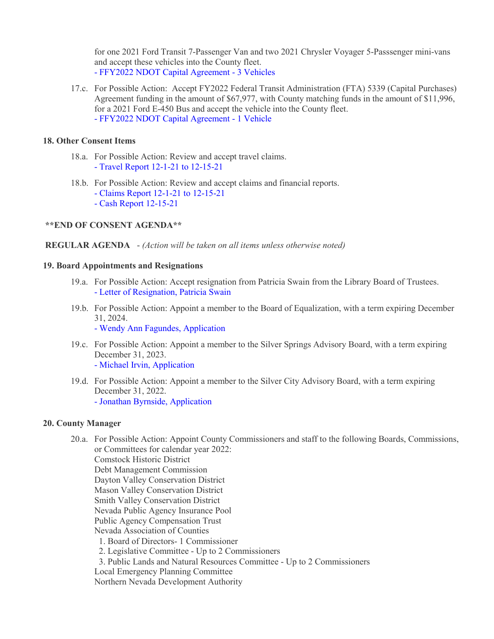for one 2021 Ford Transit 7-Passenger Van and two 2021 Chrysler Voyager 5-Passsenger mini-vans and accept these vehicles into the County fleet. - [FFY2022 NDOT Capital Agreement -](https://legistarweb-production.s3.amazonaws.com/uploads/attachment/pdf/1186796/FFY2022_NDOT_Capital_Agreement_-_3_Vehicles.pdf) 3 Vehicles

17.c. For Possible Action: Accept FY2022 Federal Transit Administration (FTA) 5339 (Capital Purchases) Agreement funding in the amount of \$67,977, with County matching funds in the amount of \$11,996, for a 2021 Ford E-450 Bus and accept the vehicle into the County fleet. - [FFY2022 NDOT Capital Agreement -](https://legistarweb-production.s3.amazonaws.com/uploads/attachment/pdf/1186800/FFY2022_NDOT_Capital_Agreement_-_1_Vehicle.pdf) 1 Vehicle

### **18. Other Consent Items**

- 18.a. For Possible Action: Review and accept travel claims. - [Travel Report 12-1-21 to 12-15-21](https://legistarweb-production.s3.amazonaws.com/uploads/attachment/pdf/1179732/Travel_Report_12-1-21_to_12-15-21.pdf)
- 18.b. For Possible Action: Review and accept claims and financial reports.
	- [Claims Report 12-1-21 to 12-15-21](https://legistarweb-production.s3.amazonaws.com/uploads/attachment/pdf/1179738/Claims_Report_12-1-21_to_12-15-21.pdf)
	- [Cash Report 12-15-21](https://legistarweb-production.s3.amazonaws.com/uploads/attachment/pdf/1180408/Cash_Report_12-15-21.pdf)

## **\*\*END OF CONSENT AGENDA\*\***

### **REGULAR AGENDA** - *(Action will be taken on all items unless otherwise noted)*

#### **19. Board Appointments and Resignations**

- 19.a. For Possible Action: Accept resignation from Patricia Swain from the Library Board of Trustees. - [Letter of Resignation, Patricia Swain](https://legistarweb-production.s3.amazonaws.com/uploads/attachment/pdf/1168696/Letter_of_Resignation__Patricia_Swain.pdf)
- 19.b. For Possible Action: Appoint a member to the Board of Equalization, with a term expiring December 31, 2024.

- [Wendy Ann Fagundes, Application](https://legistarweb-production.s3.amazonaws.com/uploads/attachment/pdf/1189001/doc05256220211229111544.pdf)

- 19.c. For Possible Action: Appoint a member to the Silver Springs Advisory Board, with a term expiring December 31, 2023. - [Michael Irvin, Application](https://legistarweb-production.s3.amazonaws.com/uploads/attachment/pdf/1177422/Michael_Irvin_Application.pdf)
- 19.d. For Possible Action: Appoint a member to the Silver City Advisory Board, with a term expiring December 31, 2022. - [Jonathan Byrnside, Application](https://legistarweb-production.s3.amazonaws.com/uploads/attachment/pdf/1179428/Jonathan_Byrnside__Application.pdf)

#### **20. County Manager**

20.a. For Possible Action: Appoint County Commissioners and staff to the following Boards, Commissions, or Committees for calendar year 2022: Comstock Historic District Debt Management Commission Dayton Valley Conservation District Mason Valley Conservation District Smith Valley Conservation District Nevada Public Agency Insurance Pool Public Agency Compensation Trust Nevada Association of Counties 1. Board of Directors- 1 Commissioner 2. Legislative Committee - Up to 2 Commissioners 3. Public Lands and Natural Resources Committee - Up to 2 Commissioners Local Emergency Planning Committee Northern Nevada Development Authority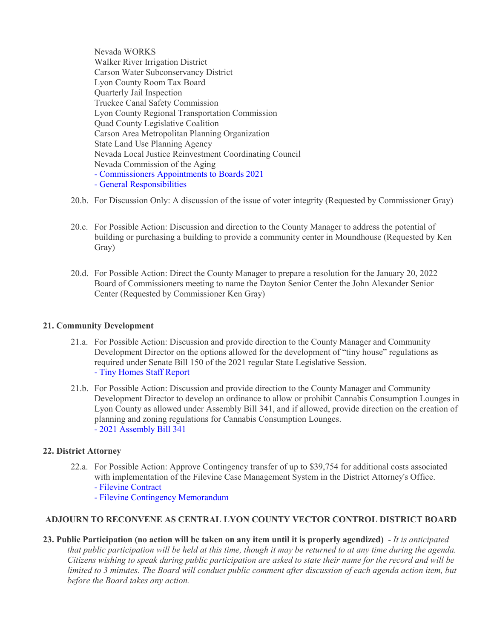Nevada WORKS Walker River Irrigation District Carson Water Subconservancy District Lyon County Room Tax Board Quarterly Jail Inspection Truckee Canal Safety Commission Lyon County Regional Transportation Commission Quad County Legislative Coalition Carson Area Metropolitan Planning Organization State Land Use Planning Agency Nevada Local Justice Reinvestment Coordinating Council Nevada Commission of the Aging - [Commissioners Appointments to Boards 2021](https://legistarweb-production.s3.amazonaws.com/uploads/attachment/pdf/1165516/Comm_to_BoardsDirectory_Update_2021.pdf) - [General Responsibilities](https://legistarweb-production.s3.amazonaws.com/uploads/attachment/pdf/1165524/1-3_General_Responsibilities_07052013-2.pdf)

- 20.b. For Discussion Only: A discussion of the issue of voter integrity (Requested by Commissioner Gray)
- 20.c. For Possible Action: Discussion and direction to the County Manager to address the potential of building or purchasing a building to provide a community center in Moundhouse (Requested by Ken Gray)
- 20.d. For Possible Action: Direct the County Manager to prepare a resolution for the January 20, 2022 Board of Commissioners meeting to name the Dayton Senior Center the John Alexander Senior Center (Requested by Commissioner Ken Gray)

## **21. Community Development**

- 21.a. For Possible Action: Discussion and provide direction to the County Manager and Community Development Director on the options allowed for the development of "tiny house" regulations as required under Senate Bill 150 of the 2021 regular State Legislative Session. - [Tiny Homes Staff Report](https://legistarweb-production.s3.amazonaws.com/uploads/attachment/pdf/1186649/Tiny_Homes_Agenda_Summaryand_Backup-BOCC_01.06.2022.pdf)
- 21.b. For Possible Action: Discussion and provide direction to the County Manager and Community Development Director to develop an ordinance to allow or prohibit Cannabis Consumption Lounges in Lyon County as allowed under Assembly Bill 341, and if allowed, provide direction on the creation of planning and zoning regulations for Cannabis Consumption Lounges. - [2021 Assembly Bill 341](https://legistarweb-production.s3.amazonaws.com/uploads/attachment/pdf/1188612/AB341_EN.pdf)

## **22. District Attorney**

- 22.a. For Possible Action: Approve Contingency transfer of up to \$39,754 for additional costs associated with implementation of the Filevine Case Management System in the District Attorney's Office.
	- [Filevine Contract](https://legistarweb-production.s3.amazonaws.com/uploads/attachment/pdf/1186883/2020-Nov-3_-_Lyon_County_DA_-_Sales_Order__clean___5___1_.pdf)
	- [Filevine Contingency Memorandum](https://legistarweb-production.s3.amazonaws.com/uploads/attachment/pdf/1186885/Filevine_Contingency_Memorandum_-_sbr.pdf)

## **ADJOURN TO RECONVENE AS CENTRAL LYON COUNTY VECTOR CONTROL DISTRICT BOARD**

**23. Public Participation (no action will be taken on any item until it is properly agendized)** - *It is anticipated*  that public participation will be held at this time, though it may be returned to at any time during the agenda. *Citizens wishing to speak during public participation are asked to state their name for the record and will be limited to 3 minutes. The Board will conduct public comment after discussion of each agenda action item, but before the Board takes any action.*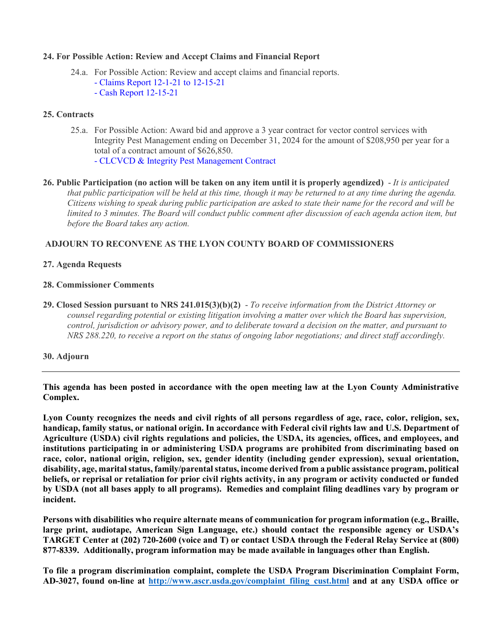### **24. For Possible Action: Review and Accept Claims and Financial Report**

- 24.a. For Possible Action: Review and accept claims and financial reports.
	- [Claims Report 12-1-21 to 12-15-21](https://legistarweb-production.s3.amazonaws.com/uploads/attachment/pdf/1180409/Claims_Report_12-1-21_to_12-15-21.pdf)
		- [Cash Report 12-15-21](https://legistarweb-production.s3.amazonaws.com/uploads/attachment/pdf/1180410/Cash_Report_12-15-21.pdf)

## **25. Contracts**

25.a. For Possible Action: Award bid and approve a 3 year contract for vector control services with Integrity Pest Management ending on December 31, 2024 for the amount of \$208,950 per year for a total of a contract amount of \$626,850. - [CLCVCD & Integrity Pest Management Contract](https://legistarweb-production.s3.amazonaws.com/uploads/attachment/pdf/1179155/CLCVCD_Integrity_contract_and_Backup_2022.pdf)

**26. Public Participation (no action will be taken on any item until it is properly agendized)** - *It is anticipated that public participation will be held at this time, though it may be returned to at any time during the agenda. Citizens wishing to speak during public participation are asked to state their name for the record and will be limited to 3 minutes. The Board will conduct public comment after discussion of each agenda action item, but before the Board takes any action.*

# **ADJOURN TO RECONVENE AS THE LYON COUNTY BOARD OF COMMISSIONERS**

### **27. Agenda Requests**

## **28. Commissioner Comments**

**29. Closed Session pursuant to NRS 241.015(3)(b)(2)** - *To receive information from the District Attorney or counsel regarding potential or existing litigation involving a matter over which the Board has supervision, control, jurisdiction or advisory power, and to deliberate toward a decision on the matter, and pursuant to NRS 288.220, to receive a report on the status of ongoing labor negotiations; and direct staff accordingly.*

#### **30. Adjourn**

**This agenda has been posted in accordance with the open meeting law at the Lyon County Administrative Complex.**

**Lyon County recognizes the needs and civil rights of all persons regardless of age, race, color, religion, sex, handicap, family status, or national origin. In accordance with Federal civil rights law and U.S. Department of Agriculture (USDA) civil rights regulations and policies, the USDA, its agencies, offices, and employees, and institutions participating in or administering USDA programs are prohibited from discriminating based on race, color, national origin, religion, sex, gender identity (including gender expression), sexual orientation, disability, age, marital status, family/parental status, income derived from a public assistance program, political beliefs, or reprisal or retaliation for prior civil rights activity, in any program or activity conducted or funded by USDA (not all bases apply to all programs). Remedies and complaint filing deadlines vary by program or incident.**

**Persons with disabilities who require alternate means of communication for program information (e.g., Braille, large print, audiotape, American Sign Language, etc.) should contact the responsible agency or USDA's TARGET Center at (202) 720-2600 (voice and T) or contact USDA through the Federal Relay Service at (800) 877-8339. Additionally, program information may be made available in languages other than English.**

**To file a program discrimination complaint, complete the USDA Program Discrimination Complaint Form, AD-3027, found on-line at [http://www.ascr.usda.gov/complaint\\_filing\\_cust.html](http://www.ascr.usda.gov/complaint_filing_cust.html) and at any USDA office or**